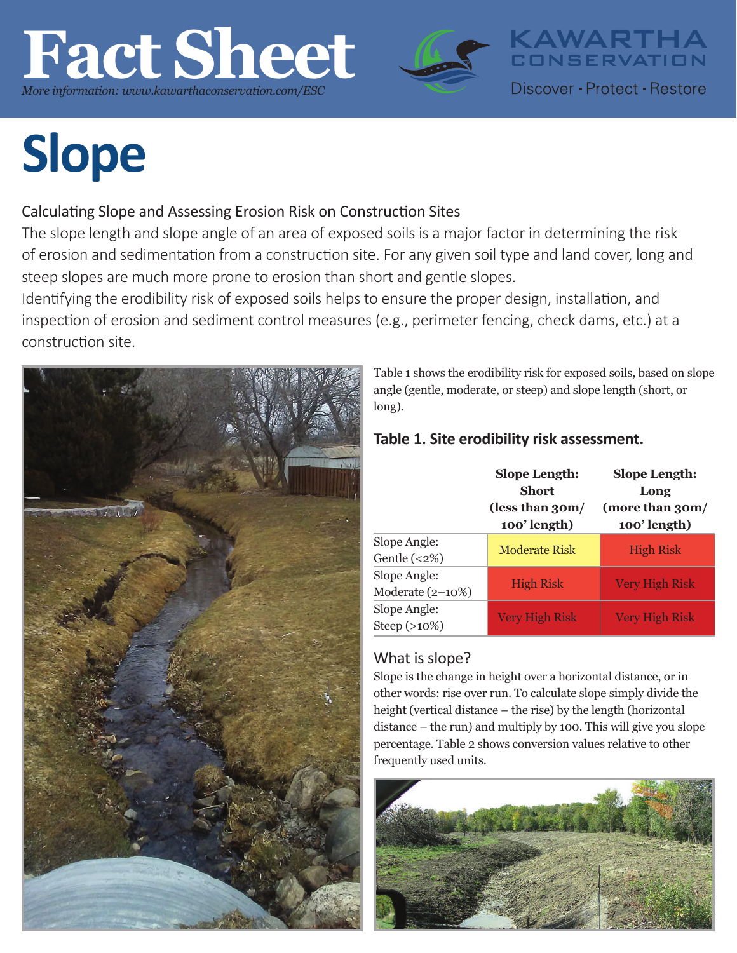## **Fact Sheet** *More information: www.kawarthaconservation.com/ESC*



**Slope**

### Calculating Slope and Assessing Erosion Risk on Construction Sites

The slope length and slope angle of an area of exposed soils is a major factor in determining the risk of erosion and sedimentation from a construction site. For any given soil type and land cover, long and steep slopes are much more prone to erosion than short and gentle slopes.

Identifying the erodibility risk of exposed soils helps to ensure the proper design, installation, and inspection of erosion and sediment control measures (e.g., perimeter fencing, check dams, etc.) at a construction site.



Table 1 shows the erodibility risk for exposed soils, based on slope angle (gentle, moderate, or steep) and slope length (short, or long).

KAWARTHA<br>CONSERVATION

Discover • Protect • Restore

### **Table 1. Site erodibility risk assessment.**

|                                     | <b>Slope Length:</b><br>Short<br>(less than 30m/<br>100'length) | <b>Slope Length:</b><br>Long<br>(more than 30m/<br>100'length) |  |
|-------------------------------------|-----------------------------------------------------------------|----------------------------------------------------------------|--|
| Slope Angle:<br>Gentle $(\leq 2\%)$ | <b>Moderate Risk</b>                                            | <b>High Risk</b>                                               |  |
| Slope Angle:<br>Moderate $(2-10\%)$ | <b>High Risk</b>                                                | <b>Very High Risk</b>                                          |  |
| Slope Angle:<br>Steep $(>10\%)$     | <b>Very High Risk</b>                                           | <b>Very High Risk</b>                                          |  |

### What is slope?

Slope is the change in height over a horizontal distance, or in other words: rise over run. To calculate slope simply divide the height (vertical distance – the rise) by the length (horizontal distance – the run) and multiply by 100. This will give you slope percentage. Table 2 shows conversion values relative to other frequently used units.